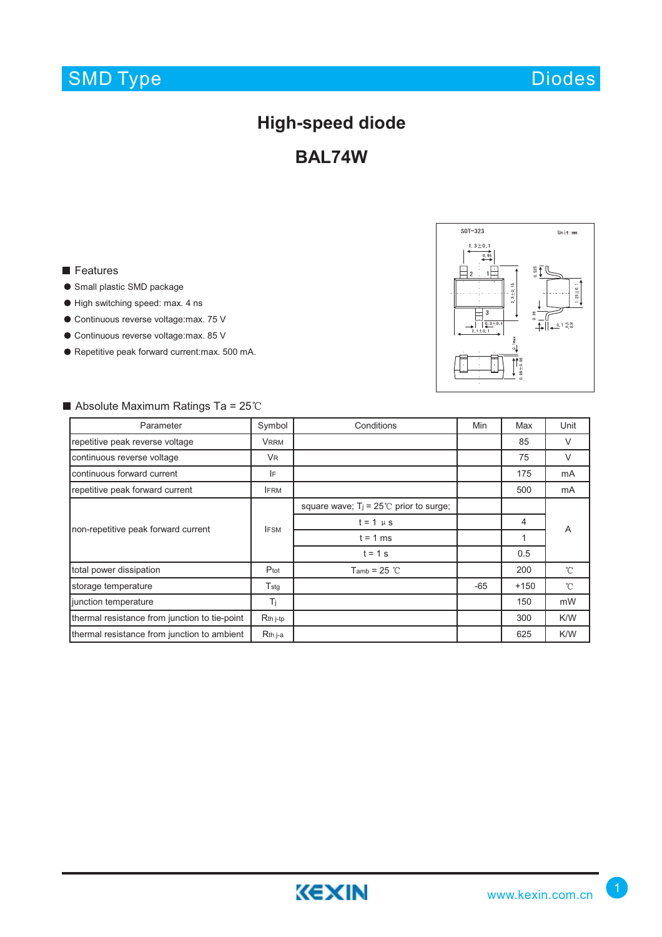## SMD Type

## **High-speed diode**

**BAL74W**

### **Features**

- **Small plastic SMD package**
- $\bullet$  High switching speed: max. 4 ns
- Continuous reverse voltage:max. 75 V
- Continuous reverse voltage:max. 85 V
- Repetitive peak forward current:max. 500 mA.



### Parameter **Symbol Conditions** Min Max Unit repetitive peak reverse voltage **VRRM** 85 V continuous reverse voltage The Continuous reverse voltage The Continuous reverse voltage The VR continuous forward current **IF** IF 175 mA repetitive peak forward current **IFRM** IFRM **IFRM IFRM IFRM IFRM IFRM IFRM IFRM IFRM IFRM IFRM IFRM** square wave;  $T_j = 25^{\circ}$  prior to surge;  $t = 1 \mu s$  4 non-repetitive peak forward current IFSM **IFSM** IFSM **IFSM** IFSM **IFSM** IF A  $t = 1$  ms 1  $t = 1 s$  0.5 total power dissipation **Phot** Ptot Tamb = 25 °C 200  $\mathcal{C}$ storage temperature T<sub>stg</sub> T<sub>stg</sub> T<sub>stg</sub> T<sub>stg</sub> 1 -65 +150  $\rm ^{\circ}C$ junction temperature  $\begin{vmatrix} 1 & 1 \end{vmatrix}$  T<sub>j</sub>  $\begin{vmatrix} 1 & 1 \end{vmatrix}$  and  $\begin{vmatrix} 1 & 1 \end{vmatrix}$  and  $\begin{vmatrix} 1 & 1 \end{vmatrix}$  and  $\begin{vmatrix} 1 & 1 \end{vmatrix}$  and  $\begin{vmatrix} 1 & 1 \end{vmatrix}$  and  $\begin{vmatrix} 1 & 1 \end{vmatrix}$  and  $\begin{vmatrix} 1 & 1 \end{vmatrix}$  and  $\begin{vmatrix}$ thermal resistance from junction to tie-point Rth j-tp 300 K/W thermal resistance from junction to ambient Rth j-a contract to the contract of the contract of the K/W

#### Absolute Maximum Ratings Ta =  $25^{\circ}$ C